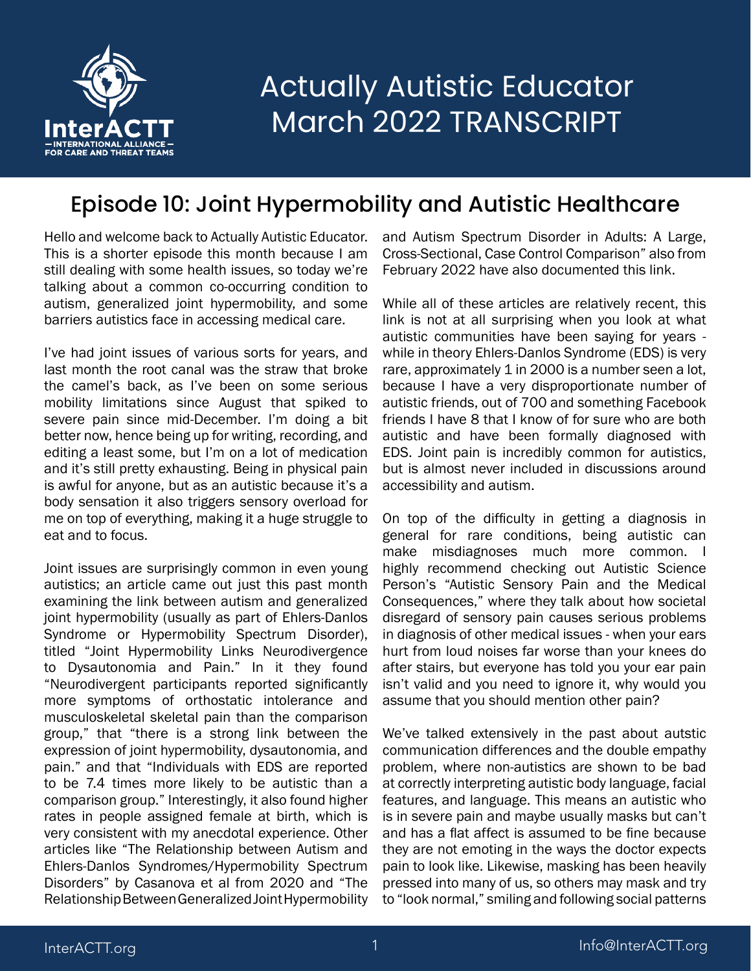

#### Episode 10: Joint Hypermobility and Autistic Healthcare

Hello and welcome back to Actually Autistic Educator. This is a shorter episode this month because I am still dealing with some health issues, so today we're talking about a common co-occurring condition to autism, generalized joint hypermobility, and some barriers autistics face in accessing medical care.

I've had joint issues of various sorts for years, and last month the root canal was the straw that broke the camel's back, as I've been on some serious mobility limitations since August that spiked to severe pain since mid-December. I'm doing a bit better now, hence being up for writing, recording, and editing a least some, but I'm on a lot of medication and it's still pretty exhausting. Being in physical pain is awful for anyone, but as an autistic because it's a body sensation it also triggers sensory overload for me on top of everything, making it a huge struggle to eat and to focus.

Joint issues are surprisingly common in even young autistics; an article came out just this past month examining the link between autism and generalized joint hypermobility (usually as part of Ehlers-Danlos Syndrome or Hypermobility Spectrum Disorder), titled "Joint Hypermobility Links Neurodivergence to Dysautonomia and Pain." In it they found "Neurodivergent participants reported significantly more symptoms of orthostatic intolerance and musculoskeletal skeletal pain than the comparison group," that "there is a strong link between the expression of joint hypermobility, dysautonomia, and pain." and that "Individuals with EDS are reported to be 7.4 times more likely to be autistic than a comparison group." Interestingly, it also found higher rates in people assigned female at birth, which is very consistent with my anecdotal experience. Other articles like "The Relationship between Autism and Ehlers-Danlos Syndromes/Hypermobility Spectrum Disorders" by Casanova et al from 2020 and "The Relationship Between Generalized Joint Hypermobility

and Autism Spectrum Disorder in Adults: A Large, Cross-Sectional, Case Control Comparison" also from February 2022 have also documented this link.

While all of these articles are relatively recent, this link is not at all surprising when you look at what autistic communities have been saying for years while in theory Ehlers-Danlos Syndrome (EDS) is very rare, approximately 1 in 2000 is a number seen a lot, because I have a very disproportionate number of autistic friends, out of 700 and something Facebook friends I have 8 that I know of for sure who are both autistic and have been formally diagnosed with EDS. Joint pain is incredibly common for autistics, but is almost never included in discussions around accessibility and autism.

On top of the difficulty in getting a diagnosis in general for rare conditions, being autistic can make misdiagnoses much more common. I highly recommend checking out Autistic Science Person's "Autistic Sensory Pain and the Medical Consequences," where they talk about how societal disregard of sensory pain causes serious problems in diagnosis of other medical issues - when your ears hurt from loud noises far worse than your knees do after stairs, but everyone has told you your ear pain isn't valid and you need to ignore it, why would you assume that you should mention other pain?

We've talked extensively in the past about autstic communication differences and the double empathy problem, where non-autistics are shown to be bad at correctly interpreting autistic body language, facial features, and language. This means an autistic who is in severe pain and maybe usually masks but can't and has a flat affect is assumed to be fine because they are not emoting in the ways the doctor expects pain to look like. Likewise, masking has been heavily pressed into many of us, so others may mask and try to "look normal," smiling and following social patterns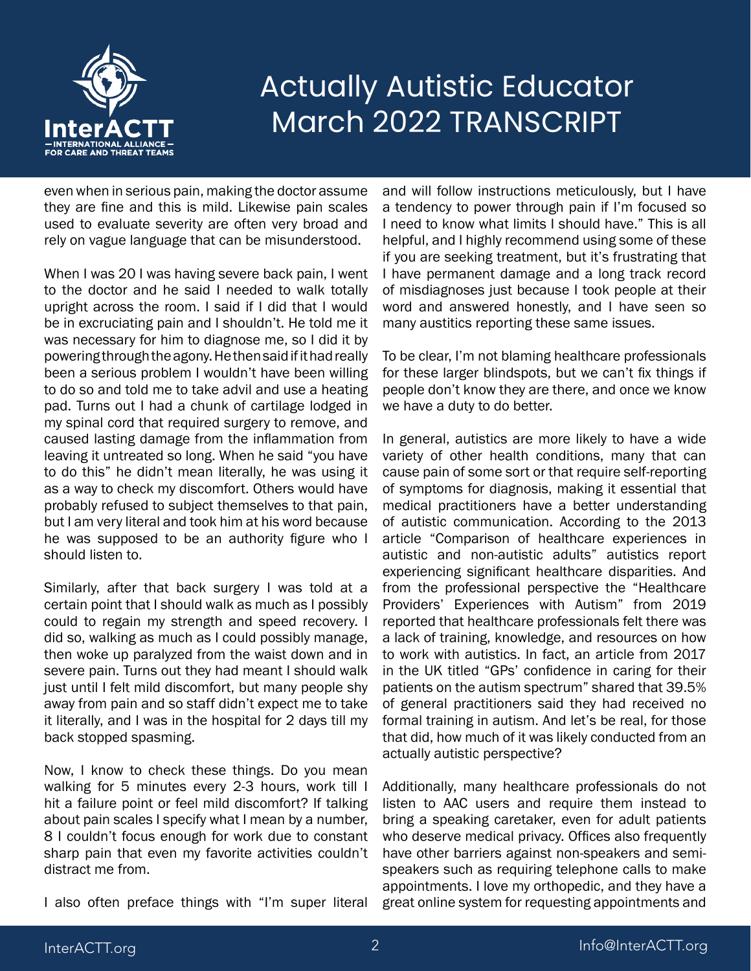

even when in serious pain, making the doctor assume they are fine and this is mild. Likewise pain scales used to evaluate severity are often very broad and rely on vague language that can be misunderstood.

When I was 20 I was having severe back pain, I went to the doctor and he said I needed to walk totally upright across the room. I said if I did that I would be in excruciating pain and I shouldn't. He told me it was necessary for him to diagnose me, so I did it by powering through the agony. He then said if it had really been a serious problem I wouldn't have been willing to do so and told me to take advil and use a heating pad. Turns out I had a chunk of cartilage lodged in my spinal cord that required surgery to remove, and caused lasting damage from the inflammation from leaving it untreated so long. When he said "you have to do this" he didn't mean literally, he was using it as a way to check my discomfort. Others would have probably refused to subject themselves to that pain, but I am very literal and took him at his word because he was supposed to be an authority figure who I should listen to.

Similarly, after that back surgery I was told at a certain point that I should walk as much as I possibly could to regain my strength and speed recovery. I did so, walking as much as I could possibly manage, then woke up paralyzed from the waist down and in severe pain. Turns out they had meant I should walk just until I felt mild discomfort, but many people shy away from pain and so staff didn't expect me to take it literally, and I was in the hospital for 2 days till my back stopped spasming.

Now, I know to check these things. Do you mean walking for 5 minutes every 2-3 hours, work till I hit a failure point or feel mild discomfort? If talking about pain scales I specify what I mean by a number, 8 I couldn't focus enough for work due to constant sharp pain that even my favorite activities couldn't distract me from.

I also often preface things with "I'm super literal

and will follow instructions meticulously, but I have a tendency to power through pain if I'm focused so I need to know what limits I should have." This is all helpful, and I highly recommend using some of these if you are seeking treatment, but it's frustrating that I have permanent damage and a long track record of misdiagnoses just because I took people at their word and answered honestly, and I have seen so many austitics reporting these same issues.

To be clear, I'm not blaming healthcare professionals for these larger blindspots, but we can't fix things if people don't know they are there, and once we know we have a duty to do better.

In general, autistics are more likely to have a wide variety of other health conditions, many that can cause pain of some sort or that require self-reporting of symptoms for diagnosis, making it essential that medical practitioners have a better understanding of autistic communication. According to the 2013 article "Comparison of healthcare experiences in autistic and non-autistic adults" autistics report experiencing significant healthcare disparities. And from the professional perspective the "Healthcare Providers' Experiences with Autism" from 2019 reported that healthcare professionals felt there was a lack of training, knowledge, and resources on how to work with autistics. In fact, an article from 2017 in the UK titled "GPs' confidence in caring for their patients on the autism spectrum" shared that 39.5% of general practitioners said they had received no formal training in autism. And let's be real, for those that did, how much of it was likely conducted from an actually autistic perspective?

Additionally, many healthcare professionals do not listen to AAC users and require them instead to bring a speaking caretaker, even for adult patients who deserve medical privacy. Offices also frequently have other barriers against non-speakers and semispeakers such as requiring telephone calls to make appointments. I love my orthopedic, and they have a great online system for requesting appointments and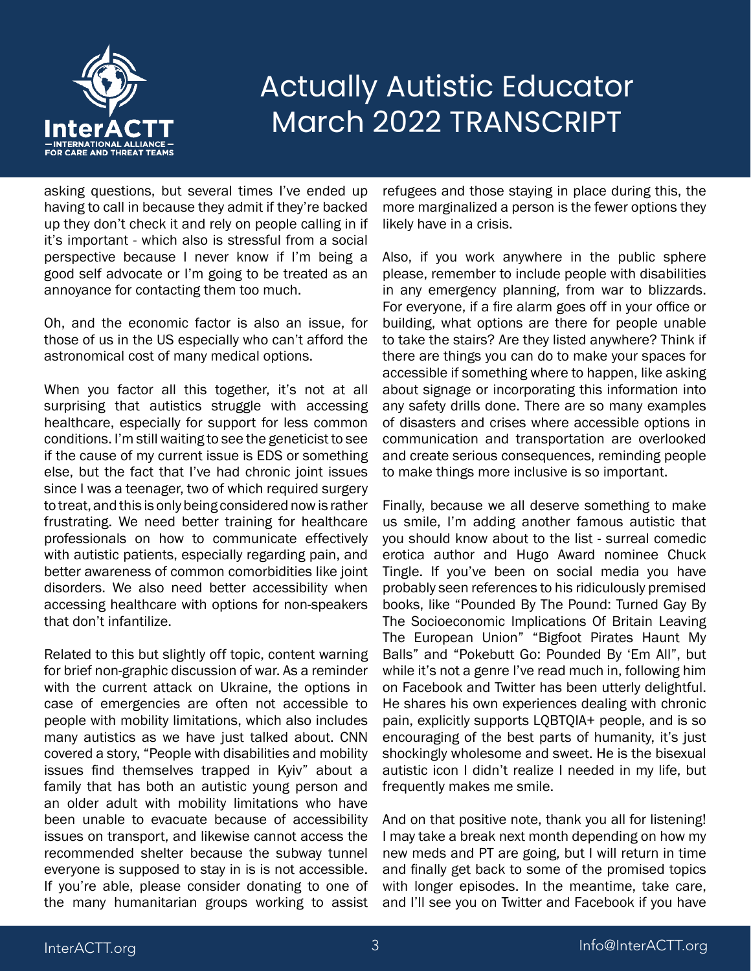

asking questions, but several times I've ended up having to call in because they admit if they're backed up they don't check it and rely on people calling in if it's important - which also is stressful from a social perspective because I never know if I'm being a good self advocate or I'm going to be treated as an annoyance for contacting them too much.

Oh, and the economic factor is also an issue, for those of us in the US especially who can't afford the astronomical cost of many medical options.

When you factor all this together, it's not at all surprising that autistics struggle with accessing healthcare, especially for support for less common conditions. I'm still waiting to see the geneticist to see if the cause of my current issue is EDS or something else, but the fact that I've had chronic joint issues since I was a teenager, two of which required surgery to treat, and this is only being considered now is rather frustrating. We need better training for healthcare professionals on how to communicate effectively with autistic patients, especially regarding pain, and better awareness of common comorbidities like joint disorders. We also need better accessibility when accessing healthcare with options for non-speakers that don't infantilize.

Related to this but slightly off topic, content warning for brief non-graphic discussion of war. As a reminder with the current attack on Ukraine, the options in case of emergencies are often not accessible to people with mobility limitations, which also includes many autistics as we have just talked about. CNN covered a story, "People with disabilities and mobility issues find themselves trapped in Kyiv" about a family that has both an autistic young person and an older adult with mobility limitations who have been unable to evacuate because of accessibility issues on transport, and likewise cannot access the recommended shelter because the subway tunnel everyone is supposed to stay in is is not accessible. If you're able, please consider donating to one of the many humanitarian groups working to assist refugees and those staying in place during this, the more marginalized a person is the fewer options they likely have in a crisis.

Also, if you work anywhere in the public sphere please, remember to include people with disabilities in any emergency planning, from war to blizzards. For everyone, if a fire alarm goes off in your office or building, what options are there for people unable to take the stairs? Are they listed anywhere? Think if there are things you can do to make your spaces for accessible if something where to happen, like asking about signage or incorporating this information into any safety drills done. There are so many examples of disasters and crises where accessible options in communication and transportation are overlooked and create serious consequences, reminding people to make things more inclusive is so important.

Finally, because we all deserve something to make us smile, I'm adding another famous autistic that you should know about to the list - surreal comedic erotica author and Hugo Award nominee Chuck Tingle. If you've been on social media you have probably seen references to his ridiculously premised books, like "Pounded By The Pound: Turned Gay By The Socioeconomic Implications Of Britain Leaving The European Union" "Bigfoot Pirates Haunt My Balls" and "Pokebutt Go: Pounded By 'Em All", but while it's not a genre I've read much in, following him on Facebook and Twitter has been utterly delightful. He shares his own experiences dealing with chronic pain, explicitly supports LQBTQIA+ people, and is so encouraging of the best parts of humanity, it's just shockingly wholesome and sweet. He is the bisexual autistic icon I didn't realize I needed in my life, but frequently makes me smile.

And on that positive note, thank you all for listening! I may take a break next month depending on how my new meds and PT are going, but I will return in time and finally get back to some of the promised topics with longer episodes. In the meantime, take care, and I'll see you on Twitter and Facebook if you have